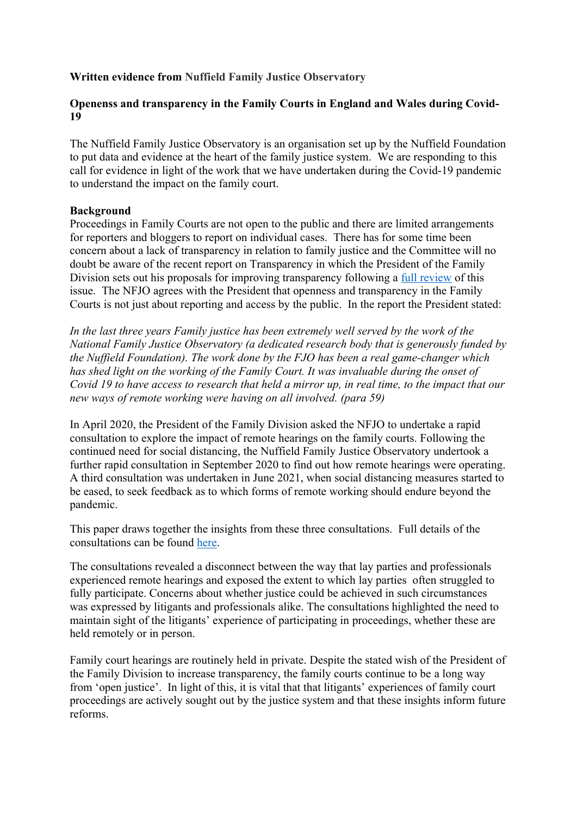# **Written evidence from Nuffield Family Justice Observatory**

### **Openenss and transparency in the Family Courts in England and Wales during Covid-19**

The Nuffield Family Justice Observatory is an organisation set up by the Nuffield Foundation to put data and evidence at the heart of the family justice system. We are responding to this call for evidence in light of the work that we have undertaken during the Covid-19 pandemic to understand the impact on the family court.

### **Background**

Proceedings in Family Courts are not open to the public and there are limited arrangements for reporters and bloggers to report on individual cases. There has for some time been concern about a lack of transparency in relation to family justice and the Committee will no doubt be aware of the recent report on Transparency in which the President of the Family Division sets out his proposals for improving transparency following a [full](https://www.judiciary.uk/wp-content/uploads/2021/10/Confidence-and-Confidentiality-Transparency-in-the-Family-Courts-final.pdf) [review](https://www.judiciary.uk/wp-content/uploads/2021/10/Confidence-and-Confidentiality-Transparency-in-the-Family-Courts-final.pdf) of this issue. The NFJO agrees with the President that openness and transparency in the Family Courts is not just about reporting and access by the public. In the report the President stated:

*In the last three years Family justice has been extremely well served by the work of the National Family Justice Observatory (a dedicated research body that is generously funded by the Nuffield Foundation). The work done by the FJO has been a real game-changer which has shed light on the working of the Family Court. It was invaluable during the onset of* Covid 19 to have access to research that held a mirror up, in real time, to the impact that our *new ways of remote working were having on all involved. (para 59)*

In April 2020, the President of the Family Division asked the NFJO to undertake a rapid consultation to explore the impact of remote hearings on the family courts. Following the continued need for social distancing, the Nuffield Family Justice Observatory undertook a further rapid consultation in September 2020 to find out how remote hearings were operating. A third consultation was undertaken in June 2021, when social distancing measures started to be eased, to seek feedback as to which forms of remote working should endure beyond the pandemic.

This paper draws together the insights from these three consultations. Full details of the consultations can be found [here.](https://www.nuffieldfjo.org.uk/our-work/covid-19)

The consultations revealed a disconnect between the way that lay parties and professionals experienced remote hearings and exposed the extent to which lay parties often struggled to fully participate. Concerns about whether justice could be achieved in such circumstances was expressed by litigants and professionals alike. The consultations highlighted the need to maintain sight of the litigants' experience of participating in proceedings, whether these are held remotely or in person.

Family court hearings are routinely held in private. Despite the stated wish of the President of the Family Division to increase transparency, the family courts continue to be a long way from 'open justice'. In light of this, it is vital that that litigants' experiences of family court proceedings are actively sought out by the justice system and that these insights inform future reforms.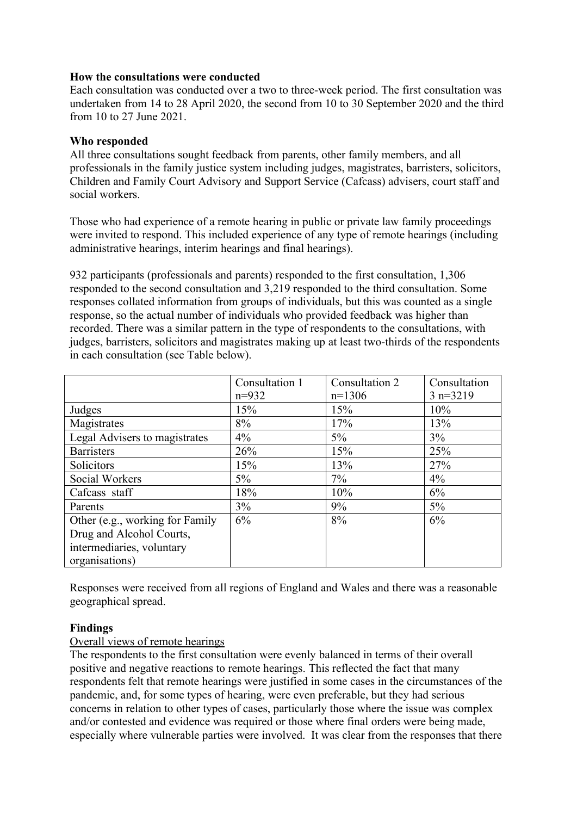### **How the consultations were conducted**

Each consultation was conducted over a two to three-week period. The first consultation was undertaken from 14 to 28 April 2020, the second from 10 to 30 September 2020 and the third from 10 to 27 June 2021.

# **Who responded**

All three consultations sought feedback from parents, other family members, and all professionals in the family justice system including judges, magistrates, barristers, solicitors, Children and Family Court Advisory and Support Service (Cafcass) advisers, court staff and social workers.

Those who had experience of a remote hearing in public or private law family proceedings were invited to respond. This included experience of any type of remote hearings (including administrative hearings, interim hearings and final hearings).

932 participants (professionals and parents) responded to the first consultation, 1,306 responded to the second consultation and 3,219 responded to the third consultation. Some responses collated information from groups of individuals, but this was counted as a single response, so the actual number of individuals who provided feedback was higher than recorded. There was a similar pattern in the type of respondents to the consultations, with judges, barristers, solicitors and magistrates making up at least two-thirds of the respondents in each consultation (see Table below).

|                                 | Consultation 1 | Consultation 2 | Consultation |
|---------------------------------|----------------|----------------|--------------|
|                                 | $n=932$        | $n=1306$       | $3 n=3219$   |
| Judges                          | 15%            | 15%            | 10%          |
| Magistrates                     | 8%             | 17%            | 13%          |
| Legal Advisers to magistrates   | 4%             | $5\%$          | 3%           |
| <b>Barristers</b>               | 26%            | 15%            | 25%          |
| Solicitors                      | 15%            | 13%            | 27%          |
| Social Workers                  | $5\%$          | $7\%$          | $4\%$        |
| Cafcass staff                   | 18%            | 10%            | 6%           |
| Parents                         | 3%             | 9%             | $5\%$        |
| Other (e.g., working for Family | 6%             | 8%             | 6%           |
| Drug and Alcohol Courts,        |                |                |              |
| intermediaries, voluntary       |                |                |              |
| organisations)                  |                |                |              |

Responses were received from all regions of England and Wales and there was a reasonable geographical spread.

# **Findings**

### Overall views of remote hearings

The respondents to the first consultation were evenly balanced in terms of their overall positive and negative reactions to remote hearings. This reflected the fact that many respondents felt that remote hearings were justified in some cases in the circumstances of the pandemic, and, for some types of hearing, were even preferable, but they had serious concerns in relation to other types of cases, particularly those where the issue was complex and/or contested and evidence was required or those where final orders were being made, especially where vulnerable parties were involved. It was clear from the responses that there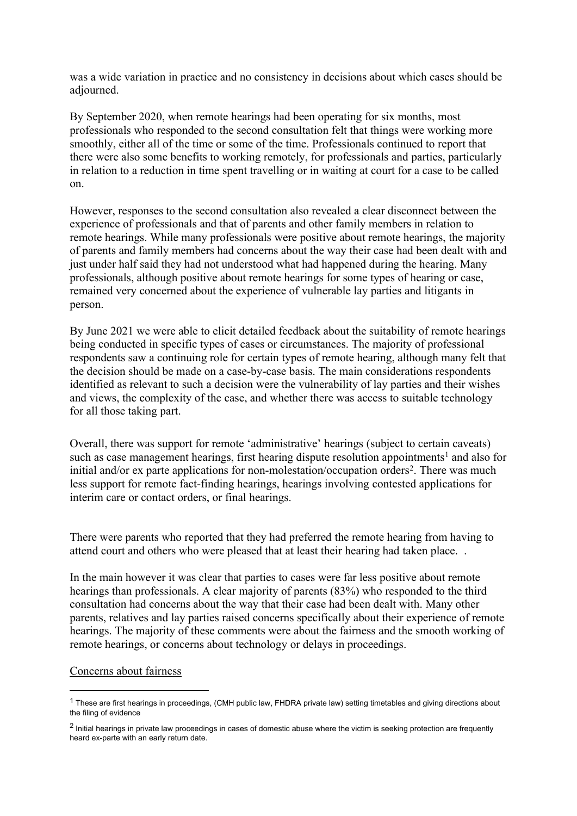was a wide variation in practice and no consistency in decisions about which cases should be adjourned.

By September 2020, when remote hearings had been operating for six months, most professionals who responded to the second consultation felt that things were working more smoothly, either all of the time or some of the time. Professionals continued to report that there were also some benefits to working remotely, for professionals and parties, particularly in relation to a reduction in time spent travelling or in waiting at court for a case to be called on.

However, responses to the second consultation also revealed a clear disconnect between the experience of professionals and that of parents and other family members in relation to remote hearings. While many professionals were positive about remote hearings, the majority of parents and family members had concerns about the way their case had been dealt with and just under half said they had not understood what had happened during the hearing. Many professionals, although positive about remote hearings for some types of hearing or case, remained very concerned about the experience of vulnerable lay parties and litigants in person.

By June 2021 we were able to elicit detailed feedback about the suitability of remote hearings being conducted in specific types of cases or circumstances. The majority of professional respondents saw a continuing role for certain types of remote hearing, although many felt that the decision should be made on a case-by-case basis. The main considerations respondents identified as relevant to such a decision were the vulnerability of lay parties and their wishes and views, the complexity of the case, and whether there was access to suitable technology for all those taking part.

Overall, there was support for remote 'administrative' hearings (subject to certain caveats) such as case management hearings, first hearing dispute resolution appointments<sup>1</sup> and also for initial and/or ex parte applications for non-molestation/occupation orders<sup>2</sup>. There was much less support for remote fact-finding hearings, hearings involving contested applications for interim care or contact orders, or final hearings.

There were parents who reported that they had preferred the remote hearing from having to attend court and others who were pleased that at least their hearing had taken place. .

In the main however it was clear that parties to cases were far less positive about remote hearings than professionals. A clear majority of parents (83%) who responded to the third consultation had concerns about the way that their case had been dealt with. Many other parents, relatives and lay parties raised concerns specifically about their experience of remote hearings. The majority of these comments were about the fairness and the smooth working of remote hearings, or concerns about technology or delays in proceedings.

#### Concerns about fairness

 $1$  These are first hearings in proceedings, (CMH public law, FHDRA private law) setting timetables and giving directions about the filing of evidence

<sup>&</sup>lt;sup>2</sup> Initial hearings in private law proceedings in cases of domestic abuse where the victim is seeking protection are frequently heard ex-parte with an early return date.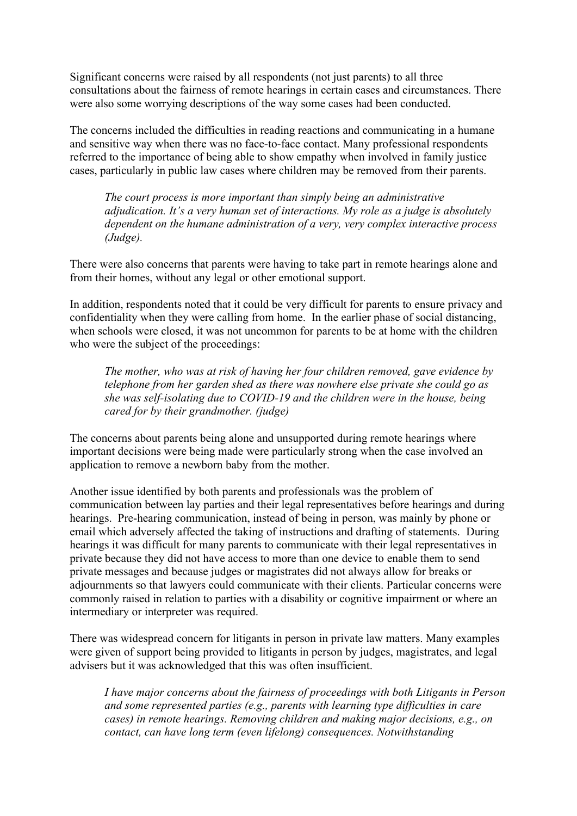Significant concerns were raised by all respondents (not just parents) to all three consultations about the fairness of remote hearings in certain cases and circumstances. There were also some worrying descriptions of the way some cases had been conducted.

The concerns included the difficulties in reading reactions and communicating in a humane and sensitive way when there was no face-to-face contact. Many professional respondents referred to the importance of being able to show empathy when involved in family justice cases, particularly in public law cases where children may be removed from their parents.

*The court process is more important than simply being an administrative adjudication. It's a very human set of interactions. My role as a judge is absolutely dependent on the humane administration of a very, very complex interactive process (Judge).*

There were also concerns that parents were having to take part in remote hearings alone and from their homes, without any legal or other emotional support.

In addition, respondents noted that it could be very difficult for parents to ensure privacy and confidentiality when they were calling from home. In the earlier phase of social distancing, when schools were closed, it was not uncommon for parents to be at home with the children who were the subject of the proceedings:

*The mother, who was at risk of having her four children removed, gave evidence by telephone from her garden shed as there was nowhere else private she could go as she was self-isolating due to COVID-19 and the children were in the house, being cared for by their grandmother. (judge)*

The concerns about parents being alone and unsupported during remote hearings where important decisions were being made were particularly strong when the case involved an application to remove a newborn baby from the mother.

Another issue identified by both parents and professionals was the problem of communication between lay parties and their legal representatives before hearings and during hearings. Pre-hearing communication, instead of being in person, was mainly by phone or email which adversely affected the taking of instructions and drafting of statements. During hearings it was difficult for many parents to communicate with their legal representatives in private because they did not have access to more than one device to enable them to send private messages and because judges or magistrates did not always allow for breaks or adjournments so that lawyers could communicate with their clients. Particular concerns were commonly raised in relation to parties with a disability or cognitive impairment or where an intermediary or interpreter was required.

There was widespread concern for litigants in person in private law matters. Many examples were given of support being provided to litigants in person by judges, magistrates, and legal advisers but it was acknowledged that this was often insufficient.

*I have major concerns about the fairness of proceedings with both Litigants in Person and some represented parties (e.g., parents with learning type difficulties in care cases) in remote hearings. Removing children and making major decisions, e.g., on contact, can have long term (even lifelong) consequences. Notwithstanding*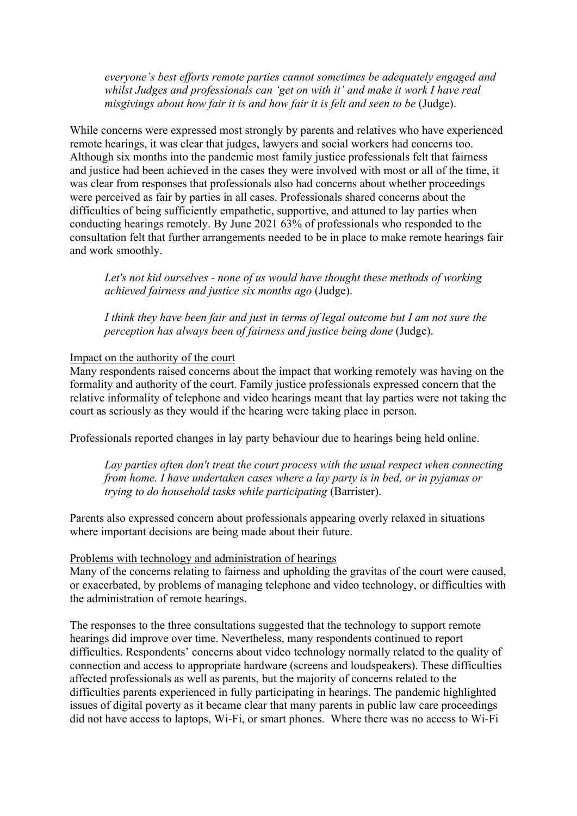*everyone's best efforts remote parties cannot sometimes be adequately engaged and whilst Judges and professionals can 'get on with it' and make it work I have real misgivings about how fair it is and how fair it is felt and seen to be* (Judge).

While concerns were expressed most strongly by parents and relatives who have experienced remote hearings, it was clear that judges, lawyers and social workers had concerns too. Although six months into the pandemic most family justice professionals felt that fairness and justice had been achieved in the cases they were involved with most or all of the time, it was clear from responses that professionals also had concerns about whether proceedings were perceived as fair by parties in all cases. Professionals shared concerns about the difficulties of being sufficiently empathetic, supportive, and attuned to lay parties when conducting hearings remotely. By June 2021 63% of professionals who responded to the consultation felt that further arrangements needed to be in place to make remote hearings fair and work smoothly.

*Let's not kid ourselves - none of us would have thought these methods of working achieved fairness and justice six months ago* (Judge).

*I think they have been fair and just in terms of legal outcome but I am not sure the perception has always been of fairness and justice being done* (Judge).

#### Impact on the authority of the court

Many respondents raised concerns about the impact that working remotely was having on the formality and authority of the court. Family justice professionals expressed concern that the relative informality of telephone and video hearings meant that lay parties were not taking the court as seriously as they would if the hearing were taking place in person.

Professionals reported changes in lay party behaviour due to hearings being held online.

*Lay parties often don't treat the court process with the usual respect when connecting from home. I have undertaken cases where a lay party is in bed, or in pyjamas or trying to do household tasks while participating* (Barrister).

Parents also expressed concern about professionals appearing overly relaxed in situations where important decisions are being made about their future.

#### Problems with technology and administration of hearings

Many of the concerns relating to fairness and upholding the gravitas of the court were caused, or exacerbated, by problems of managing telephone and video technology, or difficulties with the administration of remote hearings.

The responses to the three consultations suggested that the technology to support remote hearings did improve over time. Nevertheless, many respondents continued to report difficulties. Respondents' concerns about video technology normally related to the quality of connection and access to appropriate hardware (screens and loudspeakers). These difficulties affected professionals as well as parents, but the majority of concerns related to the difficulties parents experienced in fully participating in hearings. The pandemic highlighted issues of digital poverty as it became clear that many parents in public law care proceedings did not have access to laptops, Wi-Fi, or smart phones. Where there was no access to Wi-Fi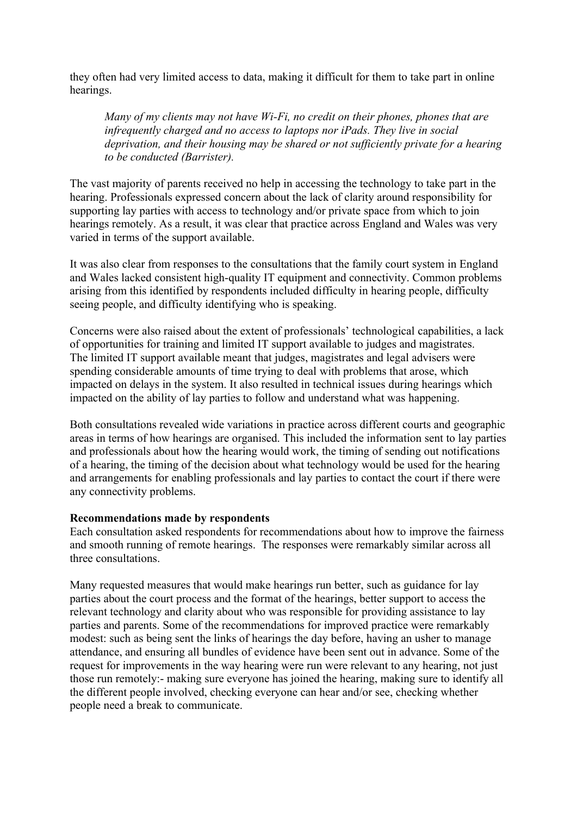they often had very limited access to data, making it difficult for them to take part in online hearings.

*Many of my clients may not have Wi-Fi, no credit on their phones, phones that are infrequently charged and no access to laptops nor iPads. They live in social deprivation, and their housing may be shared or not sufficiently private for a hearing to be conducted (Barrister).*

The vast majority of parents received no help in accessing the technology to take part in the hearing. Professionals expressed concern about the lack of clarity around responsibility for supporting lay parties with access to technology and/or private space from which to join hearings remotely. As a result, it was clear that practice across England and Wales was very varied in terms of the support available.

It was also clear from responses to the consultations that the family court system in England and Wales lacked consistent high-quality IT equipment and connectivity. Common problems arising from this identified by respondents included difficulty in hearing people, difficulty seeing people, and difficulty identifying who is speaking.

Concerns were also raised about the extent of professionals' technological capabilities, a lack of opportunities for training and limited IT support available to judges and magistrates. The limited IT support available meant that judges, magistrates and legal advisers were spending considerable amounts of time trying to deal with problems that arose, which impacted on delays in the system. It also resulted in technical issues during hearings which impacted on the ability of lay parties to follow and understand what was happening.

Both consultations revealed wide variations in practice across different courts and geographic areas in terms of how hearings are organised. This included the information sent to lay parties and professionals about how the hearing would work, the timing of sending out notifications of a hearing, the timing of the decision about what technology would be used for the hearing and arrangements for enabling professionals and lay parties to contact the court if there were any connectivity problems.

### **Recommendations made by respondents**

Each consultation asked respondents for recommendations about how to improve the fairness and smooth running of remote hearings. The responses were remarkably similar across all three consultations.

Many requested measures that would make hearings run better, such as guidance for lay parties about the court process and the format of the hearings, better support to access the relevant technology and clarity about who was responsible for providing assistance to lay parties and parents. Some of the recommendations for improved practice were remarkably modest: such as being sent the links of hearings the day before, having an usher to manage attendance, and ensuring all bundles of evidence have been sent out in advance. Some of the request for improvements in the way hearing were run were relevant to any hearing, not just those run remotely:- making sure everyone has joined the hearing, making sure to identify all the different people involved, checking everyone can hear and/or see, checking whether people need a break to communicate.